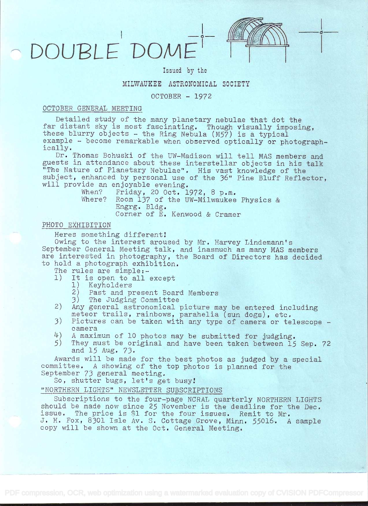# DOUBLE DOM



**in the second of the second of the second of the second of the second of the second of the second of the second of the second of the second of the second of the second of the second of the second of the second of the seco** 

# Issued by the

# MILWAUKEE ASTRONOMICAL SOCIETY

## OCTOBER - 1972

## OCTOBER GENERAL MEETING

Detailed study of the many planetary nebulae that dot the far distant sky is most fascinating. Though visually imposing, these blurry  $o\check{b}$  jects - the Ring Nebula (M57) is a typical example - become remarkable when observed optically or photographically.

Dr, Thomas Bohuski of the UW-Madison will tell MAS members and guests in attendance about these interstellar objects in his talk "The Nature oÍ' Planetary Nebulae", His vast knowledge of the subject, enhanced by personal use of the 36" Pine Bluff Reflector, will provide an enjoyable evening.

| When?  | Friday, 20 Oct. 1972, 8 p.m.           |
|--------|----------------------------------------|
| Where? | Room 137 of the UW-Milwaukee Physics & |
|        | Engrg. Bldg.                           |
|        | Corner of E. Kenwood & Cramer          |

# PHOTO EXHIBITION

Heres something different!

Owing to the interest aroused by Mr. Harvey Lindemann's September General Meeting talk, and inasmuch as many MAS members are interested in photography, the Board of Directors has decided to hold a photograph exhibition.

The rules are simple:-<br>1) It is open to all

- It is open to all except
	- 1) Keyholders
	- 2) Past and present Board Members
- 13) The Judging Committee
- 2) Any general astronomical picture may be entered including meteor trails, rainbows, parahelia (sun dogs), etc,
- 3) Pictures can be taken with any type of camera or telescope <sup>c</sup>amera
- $\frac{1}{4}$ ) A maximum of 10 photos may be submitted for judging.<br>5) They must be original and have been taken between 15
- They must be original and have been taken between 15 Sep. 72 and 15 Aug. 73.

Awards will be made for the best photos as judged by a special committee. A showing of the top photos is planned for the September 73 general meeting.

So, shutter bugs, let's get busy

"NORTHERN LIGHTS" NEWSLETTER SUBSCRIPTIONS

Subscriptions to the four-page NCRAL quarterly NORTHERN LIGHTS should be made now since 25 November is the deadline for the Dec. issue. The price is \$1 for the four issues. Remit to Mr. J. H. Fox, 8301 Isle Av. S. Cottage Grove, Minn. 55016. A sample copy will be shown at the Oct. General Meeting.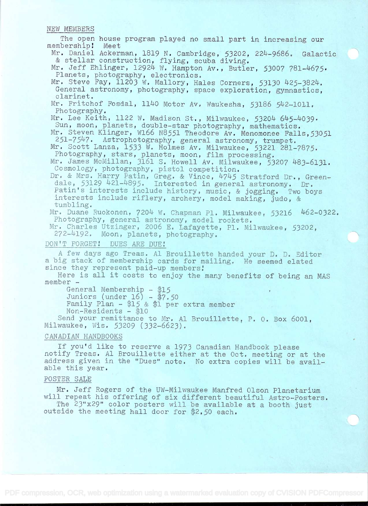#### NEW MEMBERS

The open house program played no small part in increasing our bership! Meet membership! Mr, Daniel Ackerman, 1819 N. Cambridge, 53202, 224-9686. Galactic & stellar construction, flying, scuba diving. Mr. Jeff Ehlinger, 12924 W. Hampton Av., Butler, 53007 781-4675. Planets, photography, electronics. Mr. Steve Fay, 11203 W. Mallory, Hales Corners, 53130 425-3824. General astronomy, photography, space exploration, gymnastics, clarinet. Mr. Fritchof Fosdal, 1140 Motor Av. Waukesha, 53186 542-1011. Photography. Mr. Lee Keith, 1122 W. Madison St., Milwaukee, 53204 645-4039. Sun, moon, planets, double-star photography, mathematics. Mr. Steven Klinger, W166 N8551 Theodore Av. Menomonee Falls,53051<br>251-7547. Astrophotography, general astronomy, trumpet. Mr, Scott Lanza, 1533 W. Holmes Av. Milwaukee, 53221 281-7875. Photography, stars, planets, moon, film processing. Mr. James McMillan, 3161 S. Howell Av. Milwaukee, 53207 483-6131. Cosmology, photography, pistol competition. Dr. & Mrs. Harry Patin, Greg. & Vince, 4745 Stratford Dr., Greendale, 53129 421-4895. Interested in general astronomy. Dr. Fatin's interests include history, music, & jogging. Two boys interests include riflery, archery, model making, judo, & tumbling. Mr. Duane Ruokonen, 7204 W. Chapman Pl. Milwaukee, 53216 462-0322. Photography, general astronomy, model rockets. Mr. Charles Utzînger, 2006 E. Lafayette, Pl. Milwaukee, 53202, 272-4192. Moon, planets, photography. DON'T FORGET! DUES ARE DUE! A few days ago Treas. Al Brouillette handed your D. D. Editor <sup>a</sup>big stack of membership cards for mailing. He seemed elated since they represent paid-up members! Here is all it costs to enjoy the many benefits of being an MAS member - General Membership  $-$  \$15 Juniors (under  $16$ ) -  $\frac{4}{3}7.50$ Family Plan -  $15$  & \$1 per extra member  $Non-Residents - $10$ Send your remittance to Mr. Al Brouillette, P. O. Box 6001, Milwaukee, Wis. 53209 (332-6623). CANADIAN HANDBOOKS If you'd like to reserve a 1973 Canadian Handbook please notify Treas. Al Brouillette either at the Oct. meeting or at the address given in the "Dues" note. No extra copies will be available this year. POSTER SALE Mr. Jeff Rogers of the UW-Milwaukee Manfred Olson Planetarium will repeat his offering of six different beautiful Astro-Posters. The 23"x29" color posters will be available at a booth just

outside the meeting hall door for \$2.50 each.